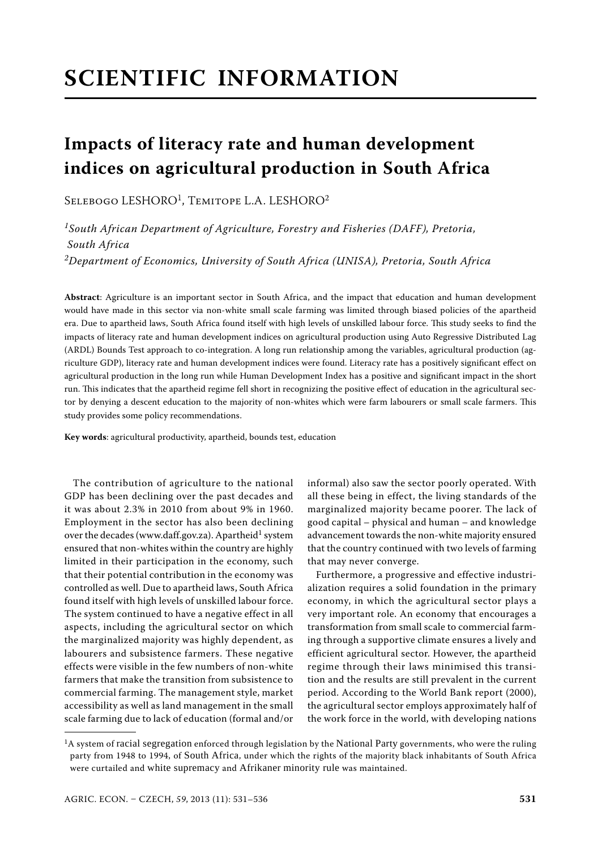# **SCIENTIFIC INFORMATION**

# **Impacts of literacy rate and human development indices on agricultural production in South Africa**

SELEBOGO LESHORO<sup>1</sup>, TEMITOPE L.A. LESHORO<sup>2</sup>

*1South African Department of Agriculture, Forestry and Fisheries (DAFF), Pretoria, South Africa 2Department of Economics, University of South Africa (UNISA), Pretoria, South Africa*

**Abstract**: Agriculture is an important sector in South Africa, and the impact that education and human development would have made in this sector via non-white small scale farming was limited through biased policies of the apartheid era. Due to apartheid laws, South Africa found itself with high levels of unskilled labour force. This study seeks to find the impacts of literacy rate and human development indices on agricultural production using Auto Regressive Distributed Lag (ARDL) Bounds Test approach to co-integration. A long run relationship among the variables, agricultural production (agriculture GDP), literacy rate and human development indices were found. Literacy rate has a positively significant effect on agricultural production in the long run while Human Development Index has a positive and significant impact in the short run. This indicates that the apartheid regime fell short in recognizing the positive effect of education in the agricultural sector by denying a descent education to the majority of non-whites which were farm labourers or small scale farmers. This study provides some policy recommendations.

**Key words**: agricultural productivity, apartheid, bounds test, education

The contribution of agriculture to the national GDP has been declining over the past decades and it was about 2.3% in 2010 from about 9% in 1960. Employment in the sector has also been declining over the decades (www.daff.gov.za). Apartheid<sup>1</sup> system ensured that non-whites within the country are highly limited in their participation in the economy, such that their potential contribution in the economy was controlled as well. Due to apartheid laws, South Africa found itself with high levels of unskilled labour force. The system continued to have a negative effect in all aspects, including the agricultural sector on which the marginalized majority was highly dependent, as labourers and subsistence farmers. These negative effects were visible in the few numbers of non-white farmers that make the transition from subsistence to commercial farming. The management style, market accessibility as well as land management in the small scale farming due to lack of education (formal and/or

informal) also saw the sector poorly operated. With all these being in effect, the living standards of the marginalized majority became poorer. The lack of good capital – physical and human – and knowledge advancement towards the non-white majority ensured that the country continued with two levels of farming that may never converge.

Furthermore, a progressive and effective industrialization requires a solid foundation in the primary economy, in which the agricultural sector plays a very important role. An economy that encourages a transformation from small scale to commercial farming through a supportive climate ensures a lively and efficient agricultural sector. However, the apartheid regime through their laws minimised this transition and the results are still prevalent in the current period. According to the World Bank report (2000), the agricultural sector employs approximately half of the work force in the world, with developing nations

<sup>&</sup>lt;sup>1</sup>A system of racial segregation enforced through legislation by the National Party governments, who were the ruling party from 1948 to 1994, of South Africa, under which the rights of the majority black inhabitants of South Africa were curtailed and white supremacy and Afrikaner minority rule was maintained.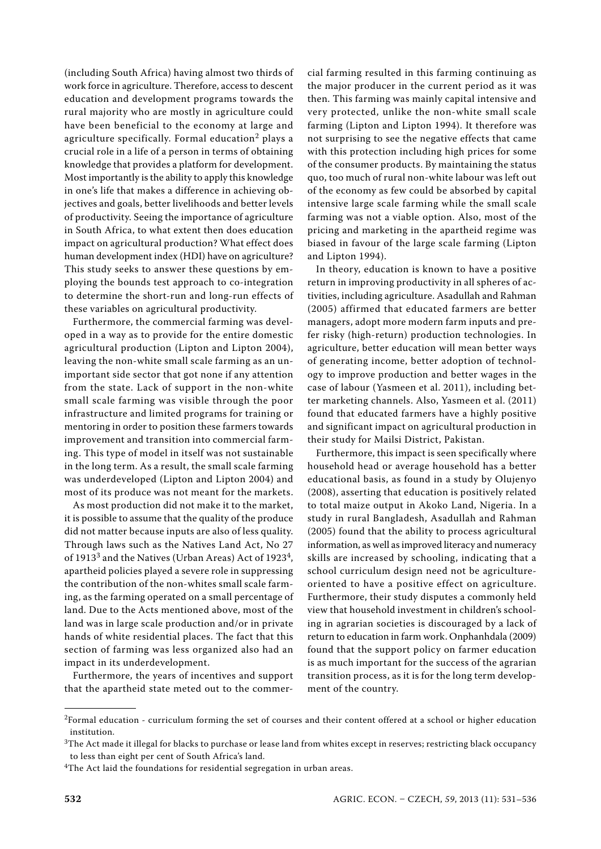(including South Africa) having almost two thirds of work force in agriculture. Therefore, access to descent education and development programs towards the rural majority who are mostly in agriculture could have been beneficial to the economy at large and agriculture specifically. Formal education<sup>2</sup> plays a crucial role in a life of a person in terms of obtaining knowledge that provides a platform for development. Most importantly is the ability to apply this knowledge in one's life that makes a difference in achieving objectives and goals, better livelihoods and better levels of productivity. Seeing the importance of agriculture in South Africa, to what extent then does education impact on agricultural production? What effect does human development index (HDI) have on agriculture? This study seeks to answer these questions by employing the bounds test approach to co-integration to determine the short-run and long-run effects of these variables on agricultural productivity.

Furthermore, the commercial farming was developed in a way as to provide for the entire domestic agricultural production (Lipton and Lipton 2004), leaving the non-white small scale farming as an unimportant side sector that got none if any attention from the state. Lack of support in the non-white small scale farming was visible through the poor infrastructure and limited programs for training or mentoring in order to position these farmers towards improvement and transition into commercial farming. This type of model in itself was not sustainable in the long term. As a result, the small scale farming was underdeveloped (Lipton and Lipton 2004) and most of its produce was not meant for the markets.

As most production did not make it to the market, it is possible to assume that the quality of the produce did not matter because inputs are also of less quality. Through laws such as the Natives Land Act, No 27 of 1913<sup>3</sup> and the Natives (Urban Areas) Act of 1923<sup>4</sup>, apartheid policies played a severe role in suppressing the contribution of the non-whites small scale farming, as the farming operated on a small percentage of land. Due to the Acts mentioned above, most of the land was in large scale production and/or in private hands of white residential places. The fact that this section of farming was less organized also had an impact in its underdevelopment.

Furthermore, the years of incentives and support that the apartheid state meted out to the commer-

cial farming resulted in this farming continuing as the major producer in the current period as it was then. This farming was mainly capital intensive and very protected, unlike the non-white small scale farming (Lipton and Lipton 1994). It therefore was not surprising to see the negative effects that came with this protection including high prices for some of the consumer products. By maintaining the status quo, too much of rural non-white labour was left out of the economy as few could be absorbed by capital intensive large scale farming while the small scale farming was not a viable option. Also, most of the pricing and marketing in the apartheid regime was biased in favour of the large scale farming (Lipton and Lipton 1994).

In theory, education is known to have a positive return in improving productivity in all spheres of activities, including agriculture. Asadullah and Rahman (2005) affirmed that educated farmers are better managers, adopt more modern farm inputs and prefer risky (high-return) production technologies. In agriculture, better education will mean better ways of generating income, better adoption of technology to improve production and better wages in the case of labour (Yasmeen et al. 2011), including better marketing channels. Also, Yasmeen et al. (2011) found that educated farmers have a highly positive and significant impact on agricultural production in their study for Mailsi District, Pakistan.

Furthermore, this impact is seen specifically where household head or average household has a better educational basis, as found in a study by Olujenyo (2008), asserting that education is positively related to total maize output in Akoko Land, Nigeria. In a study in rural Bangladesh, Asadullah and Rahman (2005) found that the ability to process agricultural information, as well as improved literacy and numeracy skills are increased by schooling, indicating that a school curriculum design need not be agricultureoriented to have a positive effect on agriculture. Furthermore, their study disputes a commonly held view that household investment in children's schooling in agrarian societies is discouraged by a lack of return to education in farm work. Onphanhdala (2009) found that the support policy on farmer education is as much important for the success of the agrarian transition process, as it is for the long term development of the country.

<sup>&</sup>lt;sup>2</sup>Formal education - curriculum forming the set of courses and their content offered at a school or higher education institution.

 $3$ The Act made it illegal for blacks to purchase or lease land from whites except in reserves; restricting black occupancy to less than eight per cent of South Africa's land.

<sup>&</sup>lt;sup>4</sup>The Act laid the foundations for residential segregation in urban areas.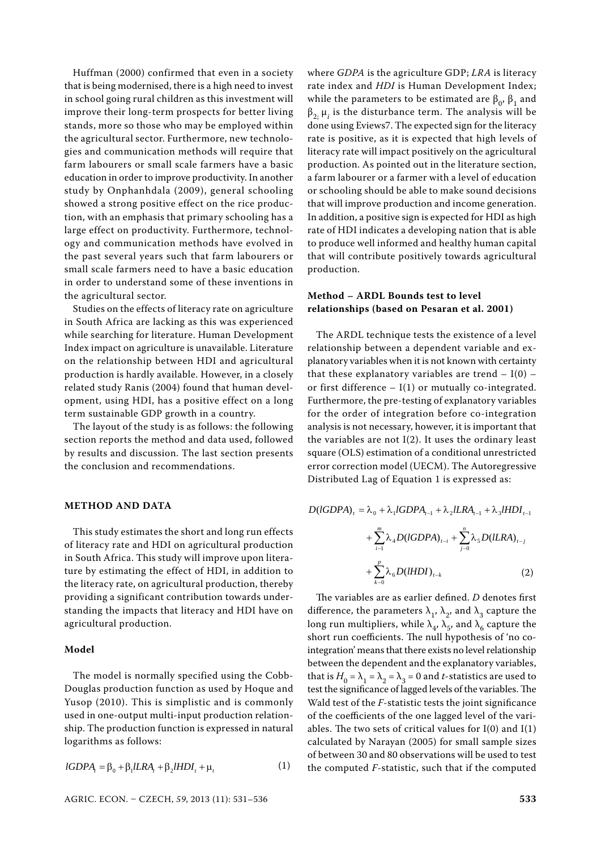Huffman (2000) confirmed that even in a society that is being modernised, there is a high need to invest in school going rural children as this investment will improve their long-term prospects for better living stands, more so those who may be employed within the agricultural sector. Furthermore, new technologies and communication methods will require that farm labourers or small scale farmers have a basic education in order to improve productivity. In another study by Onphanhdala (2009), general schooling showed a strong positive effect on the rice production, with an emphasis that primary schooling has a large effect on productivity. Furthermore, technology and communication methods have evolved in the past several years such that farm labourers or small scale farmers need to have a basic education in order to understand some of these inventions in the agricultural sector.

Studies on the effects of literacy rate on agriculture in South Africa are lacking as this was experienced while searching for literature. Human Development Index impact on agriculture is unavailable. Literature on the relationship between HDI and agricultural production is hardly available. However, in a closely related study Ranis (2004) found that human development, using HDI, has a positive effect on a long term sustainable GDP growth in a country.

The layout of the study is as follows: the following section reports the method and data used, followed by results and discussion. The last section presents the conclusion and recommendations.

#### **METHOD AND DATA**

This study estimates the short and long run effects of literacy rate and HDI on agricultural production in South Africa. This study will improve upon literature by estimating the effect of HDI, in addition to the literacy rate, on agricultural production, thereby providing a significant contribution towards understanding the impacts that literacy and HDI have on agricultural production.

#### **Model**

The model is normally specified using the Cobb-Douglas production function as used by Hoque and Yusop (2010). This is simplistic and is commonly used in one-output multi-input production relationship. The production function is expressed in natural logarithms as follows:

$$
IGDPA_t = \beta_0 + \beta_1 ILRA_t + \beta_2 HDI_t + \mu_t
$$
 (1)

where *GDPA* is the agriculture GDP; *LRA* is literacy rate index and *HDI* is Human Development Index; while the parameters to be estimated are  $β_0$ ,  $β_1$  and  $\beta_{2;}$   $\mu_i$  is the disturbance term. The analysis will be done using Eviews7. The expected sign for the literacy rate is positive, as it is expected that high levels of literacy rate will impact positively on the agricultural production. As pointed out in the literature section, a farm labourer or a farmer with a level of education or schooling should be able to make sound decisions that will improve production and income generation. In addition, a positive sign is expected for HDI as high rate of HDI indicates a developing nation that is able to produce well informed and healthy human capital that will contribute positively towards agricultural production.

# **Method – ARDL Bounds test to level relationships (based on Pesaran et al. 2001)**

The ARDL technique tests the existence of a level relationship between a dependent variable and explanatory variables when it is not known with certainty that these explanatory variables are trend  $- I(0)$  – or first difference  $- I(1)$  or mutually co-integrated. Furthermore, the pre-testing of explanatory variables for the order of integration before co-integration analysis is not necessary, however, it is important that the variables are not I(2). It uses the ordinary least square (OLS) estimation of a conditional unrestricted error correction model (UECM). The Autoregressive Distributed Lag of Equation 1 is expressed as:

$$
D(\text{IGDPA})_t = \lambda_0 + \lambda_1 \text{IGDPA}_{t-1} + \lambda_2 \text{ILRA}_{t-1} + \lambda_3 \text{HDD}_{t-1}
$$

$$
+ \sum_{i=1}^{m} \lambda_4 D(\text{IGDPA})_{t-i} + \sum_{j=0}^{n} \lambda_5 D(\text{ILRA})_{t-j}
$$

$$
+ \sum_{k=0}^{p} \lambda_6 D(\text{HDD})_{t-k} \tag{2}
$$

The variables are as earlier defined. *D* denotes first difference, the parameters  $\lambda_1$ ,  $\lambda_2$ , and  $\lambda_3$  capture the long run multipliers, while  $\lambda_4$ ,  $\lambda_5$ , and  $\lambda_6$  capture the short run coefficients. The null hypothesis of 'no cointegration' means that there exists no level relationship between the dependent and the explanatory variables, that is  $H_0 = \lambda_1 = \lambda_2 = \lambda_3 = 0$  and *t*-statistics are used to test the significance of lagged levels of the variables. The Wald test of the *F*-statistic tests the joint significance of the coefficients of the one lagged level of the variables. The two sets of critical values for  $I(0)$  and  $I(1)$ calculated by Narayan (2005) for small sample sizes of between 30 and 80 observations will be used to test the computed *F*-statistic, such that if the computed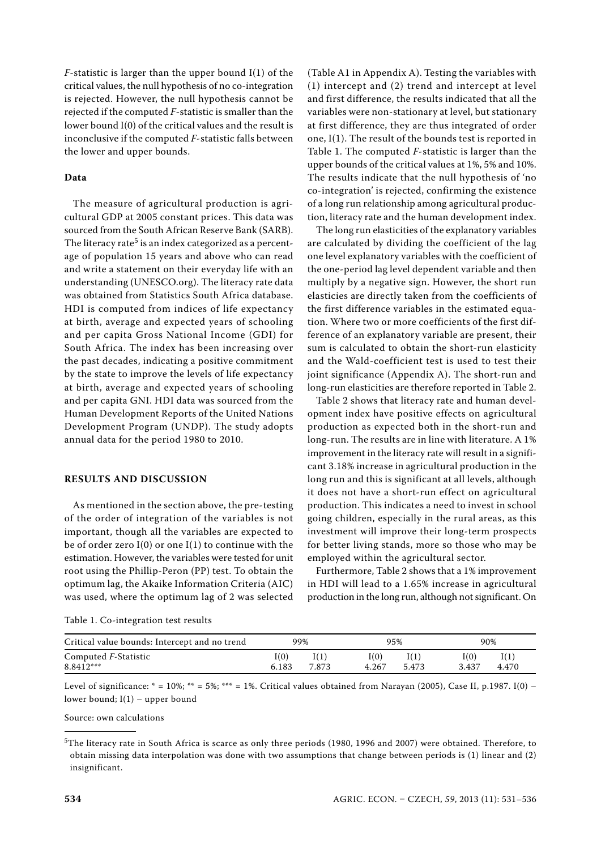*F*-statistic is larger than the upper bound I(1) of the critical values, the null hypothesis of no co-integration is rejected. However, the null hypothesis cannot be rejected if the computed *F*-statistic is smaller than the lower bound I(0) of the critical values and the result is inconclusive if the computed *F*-statistic falls between the lower and upper bounds.

#### **Data**

The measure of agricultural production is agricultural GDP at 2005 constant prices. This data was sourced from the South African Reserve Bank (SARB). The literacy rate<sup>5</sup> is an index categorized as a percentage of population 15 years and above who can read and write a statement on their everyday life with an understanding (UNESCO.org). The literacy rate data was obtained from Statistics South Africa database. HDI is computed from indices of life expectancy at birth, average and expected years of schooling and per capita Gross National Income (GDI) for South Africa. The index has been increasing over the past decades, indicating a positive commitment by the state to improve the levels of life expectancy at birth, average and expected years of schooling and per capita GNI. HDI data was sourced from the Human Development Reports of the United Nations Development Program (UNDP). The study adopts annual data for the period 1980 to 2010.

# **RESULTS AND DISCUSSION**

As mentioned in the section above, the pre-testing of the order of integration of the variables is not important, though all the variables are expected to be of order zero  $I(0)$  or one  $I(1)$  to continue with the estimation. However, the variables were tested for unit root using the Phillip-Peron (PP) test. To obtain the optimum lag, the Akaike Information Criteria (AIC) was used, where the optimum lag of 2 was selected

(Table A1 in Appendix A). Testing the variables with (1) intercept and (2) trend and intercept at level and first difference, the results indicated that all the variables were non-stationary at level, but stationary at first difference, they are thus integrated of order one, I(1). The result of the bounds test is reported in Table 1. The computed *F*-statistic is larger than the upper bounds of the critical values at 1%, 5% and 10%. The results indicate that the null hypothesis of 'no co-integration' is rejected, confirming the existence of a long run relationship among agricultural production, literacy rate and the human development index.

The long run elasticities of the explanatory variables are calculated by dividing the coefficient of the lag one level explanatory variables with the coefficient of the one-period lag level dependent variable and then multiply by a negative sign. However, the short run elasticies are directly taken from the coefficients of the first difference variables in the estimated equation. Where two or more coefficients of the first difference of an explanatory variable are present, their sum is calculated to obtain the short-run elasticity and the Wald-coefficient test is used to test their joint significance (Appendix A). The short-run and long-run elasticities are therefore reported in Table 2.

Table 2 shows that literacy rate and human development index have positive effects on agricultural production as expected both in the short-run and long-run. The results are in line with literature. A 1% improvement in the literacy rate will result in a significant 3.18% increase in agricultural production in the long run and this is significant at all levels, although it does not have a short-run effect on agricultural production. This indicates a need to invest in school going children, especially in the rural areas, as this investment will improve their long-term prospects for better living stands, more so those who may be employed within the agricultural sector.

Furthermore, Table 2 shows that a 1% improvement in HDI will lead to a 1.65% increase in agricultural production in the long run, although not significant. On

| Table 1. Co-integration test results |  |
|--------------------------------------|--|
|--------------------------------------|--|

| Critical value bounds: Intercept and no trend |       | 99%   |       | 95%   |       | 90%   |
|-----------------------------------------------|-------|-------|-------|-------|-------|-------|
| Computed F-Statistic                          | I(0)  | I(1)  | (0)   | I(1)  | I(0)  | I(1)  |
| 8.8412***                                     | 6.183 | 7.873 | 4.267 | 5.473 | 3.437 | 4.470 |

Level of significance:  $* = 10\%; ** = 5\%; ** = 1\%$ . Critical values obtained from Narayan (2005), Case II, p.1987. I(0) – lower bound; I(1) – upper bound

Source: own calculations

 $5$ The literacy rate in South Africa is scarce as only three periods (1980, 1996 and 2007) were obtained. Therefore, to obtain missing data interpolation was done with two assumptions that change between periods is (1) linear and (2) insignificant.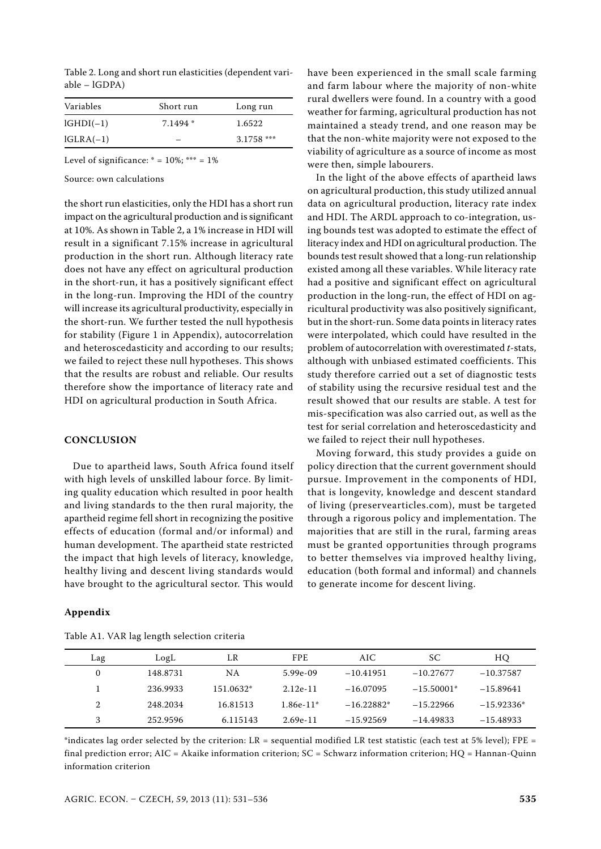Table 2. Long and short run elasticities (dependent variable – lGDPA)

| Variables   | Short run | Long run     |  |  |
|-------------|-----------|--------------|--|--|
| $lGHDI(-1)$ | $7.1494*$ | 1.6522       |  |  |
| $IGLRA(-1)$ |           | $3.1758$ *** |  |  |

Level of significance:  $* = 10\%; ** = 1\%$ 

Source: own calculations

the short run elasticities, only the HDI has a short run impact on the agricultural production and is significant at 10%. As shown in Table 2, a 1% increase in HDI will result in a significant 7.15% increase in agricultural production in the short run. Although literacy rate does not have any effect on agricultural production in the short-run, it has a positively significant effect in the long-run. Improving the HDI of the country will increase its agricultural productivity, especially in the short-run. We further tested the null hypothesis for stability (Figure 1 in Appendix), autocorrelation and heteroscedasticity and according to our results; we failed to reject these null hypotheses. This shows that the results are robust and reliable. Our results therefore show the importance of literacy rate and HDI on agricultural production in South Africa.

## **CONCLUSION**

Due to apartheid laws, South Africa found itself with high levels of unskilled labour force. By limiting quality education which resulted in poor health and living standards to the then rural majority, the apartheid regime fell short in recognizing the positive effects of education (formal and/or informal) and human development. The apartheid state restricted the impact that high levels of literacy, knowledge, healthy living and descent living standards would have brought to the agricultural sector. This would

#### **Appendix**

| Lag | LogL     | LR        | <b>FPE</b>  | AIC.         | SС           | HO           |
|-----|----------|-----------|-------------|--------------|--------------|--------------|
| 0   | 148.8731 | NA        | $5.99e-09$  | $-10.41951$  | $-10.27677$  | $-10.37587$  |
|     | 236.9933 | 151.0632* | $2.12e-11$  | $-16.07095$  | $-15.50001*$ | $-15.89641$  |
| 2   | 248.2034 | 16.81513  | $1.86e-11*$ | $-16.22882*$ | $-15.22966$  | $-15.92336*$ |
| 3   | 252.9596 | 6.115143  | $2.69e-11$  | $-15.92569$  | $-14.49833$  | $-15.48933$  |

Table A1. VAR lag length selection criteria

have been experienced in the small scale farming and farm labour where the majority of non-white rural dwellers were found. In a country with a good weather for farming, agricultural production has not maintained a steady trend, and one reason may be that the non-white majority were not exposed to the viability of agriculture as a source of income as most were then, simple labourers.

In the light of the above effects of apartheid laws on agricultural production, this study utilized annual data on agricultural production, literacy rate index and HDI. The ARDL approach to co-integration, using bounds test was adopted to estimate the effect of literacy index and HDI on agricultural production. The bounds test result showed that a long-run relationship existed among all these variables. While literacy rate had a positive and significant effect on agricultural production in the long-run, the effect of HDI on agricultural productivity was also positively significant, but in the short-run. Some data points in literacy rates were interpolated, which could have resulted in the problem of autocorrelation with overestimated *t*-stats, although with unbiased estimated coefficients. This study therefore carried out a set of diagnostic tests of stability using the recursive residual test and the result showed that our results are stable. A test for mis-specification was also carried out, as well as the test for serial correlation and heteroscedasticity and we failed to reject their null hypotheses.

Moving forward, this study provides a guide on policy direction that the current government should pursue. Improvement in the components of HDI, that is longevity, knowledge and descent standard of living (preservearticles.com), must be targeted through a rigorous policy and implementation. The majorities that are still in the rural, farming areas must be granted opportunities through programs to better themselves via improved healthy living, education (both formal and informal) and channels to generate income for descent living.

\*indicates lag order selected by the criterion: LR = sequential modified LR test statistic (each test at 5% level); FPE = final prediction error; AIC = Akaike information criterion; SC = Schwarz information criterion; HQ = Hannan-Quinn information criterion